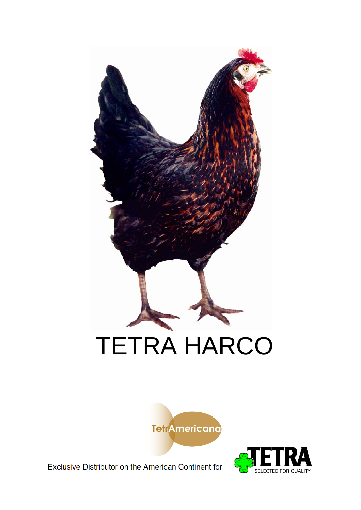





Exclusive Distributor on the American Continent for